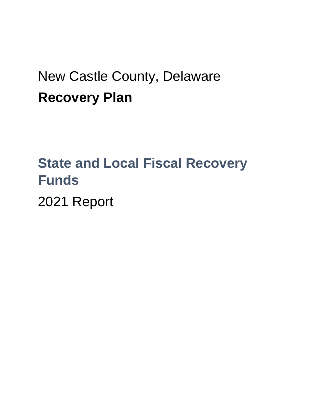## New Castle County, Delaware **Recovery Plan**

# **State and Local Fiscal Recovery Funds**

2021 Report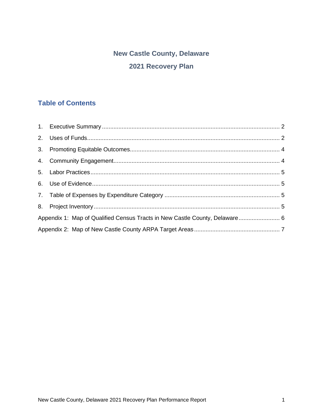### **New Castle County, Delaware** 2021 Recovery Plan

#### **Table of Contents**

| Appendix 1: Map of Qualified Census Tracts in New Castle County, Delaware 6 |  |
|-----------------------------------------------------------------------------|--|
|                                                                             |  |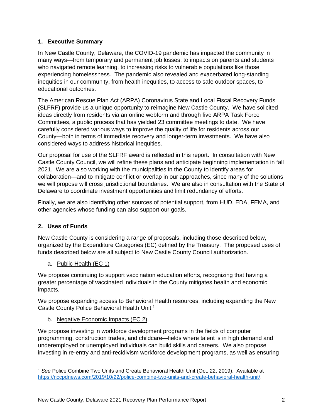#### <span id="page-2-0"></span>**1. Executive Summary**

In New Castle County, Delaware, the COVID-19 pandemic has impacted the community in many ways—from temporary and permanent job losses, to impacts on parents and students who navigated remote learning, to increasing risks to vulnerable populations like those experiencing homelessness. The pandemic also revealed and exacerbated long-standing inequities in our community, from health inequities, to access to safe outdoor spaces, to educational outcomes.

The American Rescue Plan Act (ARPA) Coronavirus State and Local Fiscal Recovery Funds (SLFRF) provide us a unique opportunity to reimagine New Castle County. We have solicited ideas directly from residents via an online webform and through five ARPA Task Force Committees, a public process that has yielded 23 committee meetings to date. We have carefully considered various ways to improve the quality of life for residents across our County—both in terms of immediate recovery and longer-term investments. We have also considered ways to address historical inequities.

Our proposal for use of the SLFRF award is reflected in this report. In consultation with New Castle County Council, we will refine these plans and anticipate beginning implementation in fall 2021. We are also working with the municipalities in the County to identify areas for collaboration—and to mitigate conflict or overlap in our approaches, since many of the solutions we will propose will cross jurisdictional boundaries. We are also in consultation with the State of Delaware to coordinate investment opportunities and limit redundancy of efforts.

Finally, we are also identifying other sources of potential support, from HUD, EDA, FEMA, and other agencies whose funding can also support our goals.

#### <span id="page-2-1"></span>**2. Uses of Funds**

New Castle County is considering a range of proposals, including those described below, organized by the Expenditure Categories (EC) defined by the Treasury. The proposed uses of funds described below are all subject to New Castle County Council authorization.

a. Public Health (EC 1)

We propose continuing to support vaccination education efforts, recognizing that having a greater percentage of vaccinated individuals in the County mitigates health and economic impacts.

We propose expanding access to Behavioral Health resources, including expanding the New Castle County Police Behavioral Health Unit. 1

b. Negative Economic Impacts (EC 2)

We propose investing in workforce development programs in the fields of computer programming, construction trades, and childcare—fields where talent is in high demand and underemployed or unemployed individuals can build skills and careers. We also propose investing in re-entry and anti-recidivism workforce development programs, as well as ensuring

<sup>1</sup> *See* Police Combine Two Units and Create Behavioral Health Unit (Oct. 22, 2019). Available at [https://nccpdnews.com/2019/10/22/police-combine-two-units-and-create-behavioral-health-unit/.](https://nccpdnews.com/2019/10/22/police-combine-two-units-and-create-behavioral-health-unit/)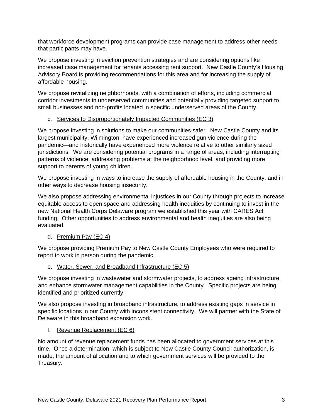that workforce development programs can provide case management to address other needs that participants may have.

We propose investing in eviction prevention strategies and are considering options like increased case management for tenants accessing rent support. New Castle County's Housing Advisory Board is providing recommendations for this area and for increasing the supply of affordable housing.

We propose revitalizing neighborhoods, with a combination of efforts, including commercial corridor investments in underserved communities and potentially providing targeted support to small businesses and non-profits located in specific underserved areas of the County.

#### c. Services to Disproportionately Impacted Communities (EC 3)

We propose investing in solutions to make our communities safer. New Castle County and its largest municipality, Wilmington, have experienced increased gun violence during the pandemic—and historically have experienced more violence relative to other similarly sized jurisdictions. We are considering potential programs in a range of areas, including interrupting patterns of violence, addressing problems at the neighborhood level, and providing more support to parents of young children.

We propose investing in ways to increase the supply of affordable housing in the County, and in other ways to decrease housing insecurity.

We also propose addressing environmental injustices in our County through projects to increase equitable access to open space and addressing health inequities by continuing to invest in the new National Health Corps Delaware program we established this year with CARES Act funding. Other opportunities to address environmental and health inequities are also being evaluated.

#### d. Premium Pay (EC 4)

We propose providing Premium Pay to New Castle County Employees who were required to report to work in person during the pandemic.

#### e. Water, Sewer, and Broadband Infrastructure (EC 5)

We propose investing in wastewater and stormwater projects, to address ageing infrastructure and enhance stormwater management capabilities in the County. Specific projects are being identified and prioritized currently.

We also propose investing in broadband infrastructure, to address existing gaps in service in specific locations in our County with inconsistent connectivity. We will partner with the State of Delaware in this broadband expansion work.

#### f. Revenue Replacement (EC 6)

No amount of revenue replacement funds has been allocated to government services at this time. Once a determination, which is subject to New Castle County Council authorization, is made, the amount of allocation and to which government services will be provided to the Treasury.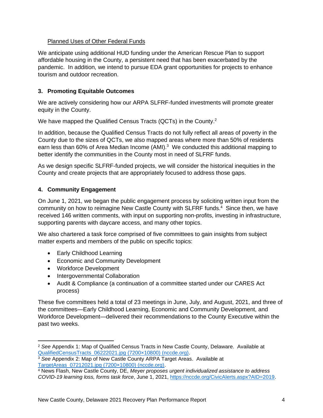#### Planned Uses of Other Federal Funds

We anticipate using additional HUD funding under the American Rescue Plan to support affordable housing in the County, a persistent need that has been exacerbated by the pandemic. In addition, we intend to pursue EDA grant opportunities for projects to enhance tourism and outdoor recreation.

#### <span id="page-4-0"></span>**3. Promoting Equitable Outcomes**

We are actively considering how our ARPA SLFRF-funded investments will promote greater equity in the County.

We have mapped the Qualified Census Tracts (QCTs) in the County.<sup>2</sup>

In addition, because the Qualified Census Tracts do not fully reflect all areas of poverty in the County due to the sizes of QCTs, we also mapped areas where more than 50% of residents earn less than 60% of Area Median Income (AMI).<sup>3</sup> We conducted this additional mapping to better identify the communities in the County most in need of SLFRF funds.

As we design specific SLFRF-funded projects, we will consider the historical inequities in the County and create projects that are appropriately focused to address those gaps.

#### <span id="page-4-1"></span>**4. Community Engagement**

On June 1, 2021, we began the public engagement process by soliciting written input from the community on how to reimagine New Castle County with SLFRF funds. <sup>4</sup> Since then, we have received 146 written comments, with input on supporting non-profits, investing in infrastructure, supporting parents with daycare access, and many other topics.

We also chartered a task force comprised of five committees to gain insights from subject matter experts and members of the public on specific topics:

- Early Childhood Learning
- Economic and Community Development
- Workforce Development
- Intergovernmental Collaboration
- Audit & Compliance (a continuation of a committee started under our CARES Act process)

These five committees held a total of 23 meetings in June, July, and August, 2021, and three of the committees—Early Childhood Learning, Economic and Community Development, and Workforce Development—delivered their recommendations to the County Executive within the past two weeks.

<sup>2</sup> *See* Appendix 1: Map of Qualified Census Tracts in New Castle County, Delaware. Available at [QualifiedCensusTracts\\_06222021.jpg \(7200×10800\) \(nccde.org\).](https://ssl02.nccde.org/gisfiles/images/Maps/ARPA/QualifiedCensusTracts_06222021.jpg)

<sup>3</sup> *See* Appendix 2: Map of New Castle County ARPA Target Areas. Available at [TargetAreas\\_07212021.jpg \(7200×10800\) \(nccde.org\).](https://ssl02.nccde.org/gisfiles/images/Maps/ARPA/TargetAreas_07212021.jpg)

<sup>4</sup> News Flash, New Castle County, DE, *Meyer proposes urgent individualized assistance to address COVID-19 learning loss, forms task force*, June 1, 2021, [https://nccde.org/CivicAlerts.aspx?AID=2019.](https://nccde.org/CivicAlerts.aspx?AID=2019)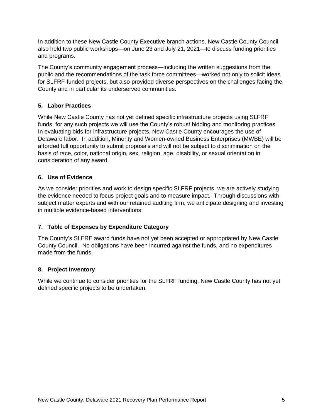In addition to these New Castle County Executive branch actions, New Castle County Council also held two public workshops—on June 23 and July 21, 2021—to discuss funding priorities and programs.

The County's community engagement process—including the written suggestions from the public and the recommendations of the task force committees—worked not only to solicit ideas for SLFRF-funded projects, but also provided diverse perspectives on the challenges facing the County and in particular its underserved communities.

#### <span id="page-5-0"></span>**5. Labor Practices**

While New Castle County has not yet defined specific infrastructure projects using SLFRF funds, for any such projects we will use the County's robust bidding and monitoring practices. In evaluating bids for infrastructure projects, New Castle County encourages the use of Delaware labor. In addition, Minority and Women‐owned Business Enterprises (MWBE) will be afforded full opportunity to submit proposals and will not be subject to discrimination on the basis of race, color, national origin, sex, religion, age, disability, or sexual orientation in consideration of any award.

#### <span id="page-5-1"></span>**6. Use of Evidence**

As we consider priorities and work to design specific SLFRF projects, we are actively studying the evidence needed to focus project goals and to measure impact. Through discussions with subject matter experts and with our retained auditing firm, we anticipate designing and investing in multiple evidence-based interventions.

#### <span id="page-5-2"></span>**7. Table of Expenses by Expenditure Category**

The County's SLFRF award funds have not yet been accepted or appropriated by New Castle County Council. No obligations have been incurred against the funds, and no expenditures made from the funds.

#### <span id="page-5-3"></span>**8. Project Inventory**

While we continue to consider priorities for the SLFRF funding, New Castle County has not yet defined specific projects to be undertaken.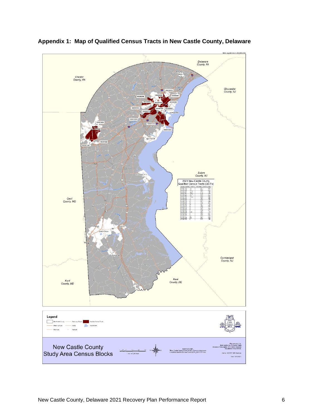

<span id="page-6-0"></span>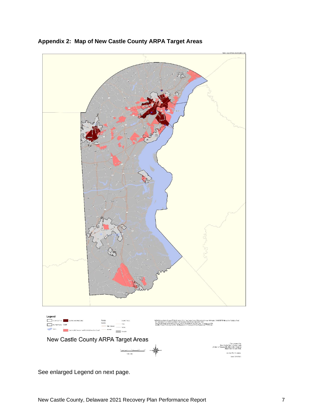

<span id="page-7-0"></span>**Appendix 2: Map of New Castle County ARPA Target Areas**

See enlarged Legend on next page.